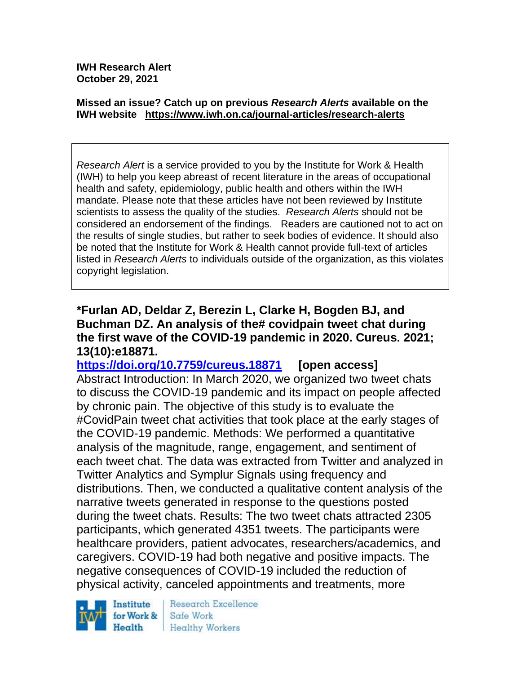**IWH Research Alert October 29, 2021**

#### **Missed an issue? Catch up on previous** *Research Alerts* **available on the [IWH website](http://www.iwh.on.ca/research-alerts) <https://www.iwh.on.ca/journal-articles/research-alerts>**

*Research Alert* is a service provided to you by the Institute for Work & Health (IWH) to help you keep abreast of recent literature in the areas of occupational health and safety, epidemiology, public health and others within the IWH mandate. Please note that these articles have not been reviewed by Institute scientists to assess the quality of the studies. *Research Alerts* should not be considered an endorsement of the findings. Readers are cautioned not to act on the results of single studies, but rather to seek bodies of evidence. It should also be noted that the Institute for Work & Health cannot provide full-text of articles listed in *Research Alerts* to individuals outside of the organization, as this violates copyright legislation.

#### **\*Furlan AD, Deldar Z, Berezin L, Clarke H, Bogden BJ, and Buchman DZ. An analysis of the# covidpain tweet chat during the first wave of the COVID-19 pandemic in 2020. Cureus. 2021; 13(10):e18871.**

**<https://doi.org/10.7759/cureus.18871> [open access]** Abstract Introduction: In March 2020, we organized two tweet chats to discuss the COVID-19 pandemic and its impact on people affected by chronic pain. The objective of this study is to evaluate the #CovidPain tweet chat activities that took place at the early stages of the COVID-19 pandemic. Methods: We performed a quantitative analysis of the magnitude, range, engagement, and sentiment of each tweet chat. The data was extracted from Twitter and analyzed in Twitter Analytics and Symplur Signals using frequency and distributions. Then, we conducted a qualitative content analysis of the narrative tweets generated in response to the questions posted during the tweet chats. Results: The two tweet chats attracted 2305 participants, which generated 4351 tweets. The participants were healthcare providers, patient advocates, researchers/academics, and caregivers. COVID-19 had both negative and positive impacts. The negative consequences of COVID-19 included the reduction of physical activity, canceled appointments and treatments, more

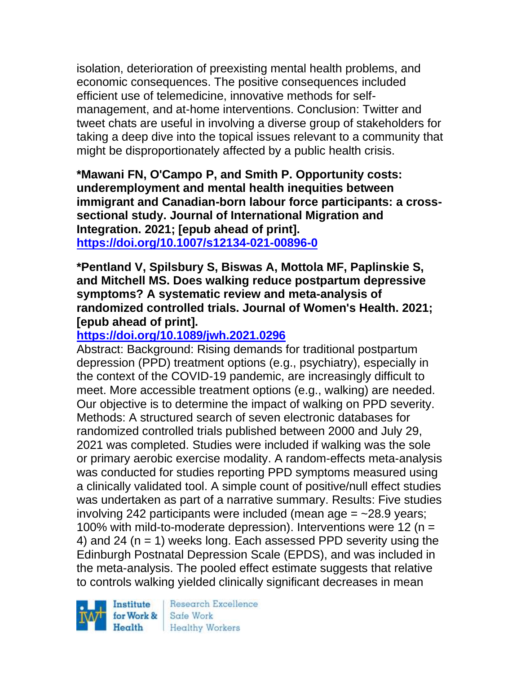isolation, deterioration of preexisting mental health problems, and economic consequences. The positive consequences included efficient use of telemedicine, innovative methods for selfmanagement, and at-home interventions. Conclusion: Twitter and tweet chats are useful in involving a diverse group of stakeholders for taking a deep dive into the topical issues relevant to a community that might be disproportionately affected by a public health crisis.

**\*Mawani FN, O'Campo P, and Smith P. Opportunity costs: underemployment and mental health inequities between immigrant and Canadian-born labour force participants: a crosssectional study. Journal of International Migration and Integration. 2021; [epub ahead of print]. <https://doi.org/10.1007/s12134-021-00896-0>** 

**\*Pentland V, Spilsbury S, Biswas A, Mottola MF, Paplinskie S, and Mitchell MS. Does walking reduce postpartum depressive symptoms? A systematic review and meta-analysis of randomized controlled trials. Journal of Women's Health. 2021; [epub ahead of print].**

# **<https://doi.org/10.1089/jwh.2021.0296>**

Abstract: Background: Rising demands for traditional postpartum depression (PPD) treatment options (e.g., psychiatry), especially in the context of the COVID-19 pandemic, are increasingly difficult to meet. More accessible treatment options (e.g., walking) are needed. Our objective is to determine the impact of walking on PPD severity. Methods: A structured search of seven electronic databases for randomized controlled trials published between 2000 and July 29, 2021 was completed. Studies were included if walking was the sole or primary aerobic exercise modality. A random-effects meta-analysis was conducted for studies reporting PPD symptoms measured using a clinically validated tool. A simple count of positive/null effect studies was undertaken as part of a narrative summary. Results: Five studies involving 242 participants were included (mean age  $=$  ~28.9 years; 100% with mild-to-moderate depression). Interventions were 12 ( $n =$ 4) and 24 ( $n = 1$ ) weeks long. Each assessed PPD severity using the Edinburgh Postnatal Depression Scale (EPDS), and was included in the meta-analysis. The pooled effect estimate suggests that relative to controls walking yielded clinically significant decreases in mean

Institute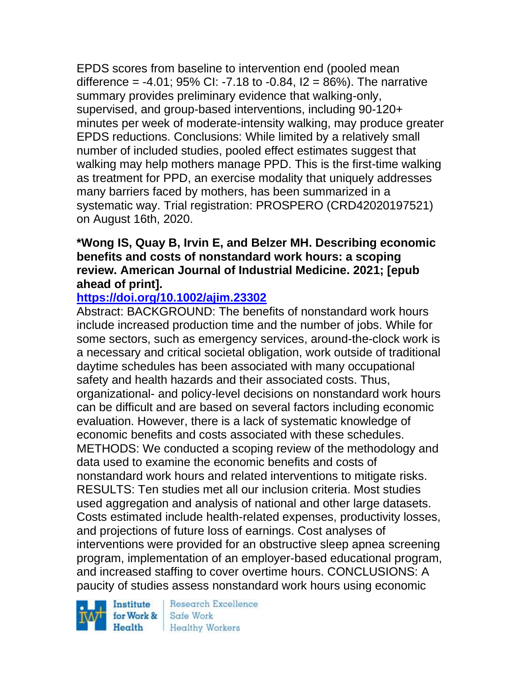EPDS scores from baseline to intervention end (pooled mean difference =  $-4.01$ ; 95% CI:  $-7.18$  to  $-0.84$ ,  $12 = 86$ %). The narrative summary provides preliminary evidence that walking-only, supervised, and group-based interventions, including 90-120+ minutes per week of moderate-intensity walking, may produce greater EPDS reductions. Conclusions: While limited by a relatively small number of included studies, pooled effect estimates suggest that walking may help mothers manage PPD. This is the first-time walking as treatment for PPD, an exercise modality that uniquely addresses many barriers faced by mothers, has been summarized in a systematic way. Trial registration: PROSPERO (CRD42020197521) on August 16th, 2020.

### **\*Wong IS, Quay B, Irvin E, and Belzer MH. Describing economic benefits and costs of nonstandard work hours: a scoping review. American Journal of Industrial Medicine. 2021; [epub ahead of print].**

# **<https://doi.org/10.1002/ajim.23302>**

Abstract: BACKGROUND: The benefits of nonstandard work hours include increased production time and the number of jobs. While for some sectors, such as emergency services, around-the-clock work is a necessary and critical societal obligation, work outside of traditional daytime schedules has been associated with many occupational safety and health hazards and their associated costs. Thus, organizational- and policy-level decisions on nonstandard work hours can be difficult and are based on several factors including economic evaluation. However, there is a lack of systematic knowledge of economic benefits and costs associated with these schedules. METHODS: We conducted a scoping review of the methodology and data used to examine the economic benefits and costs of nonstandard work hours and related interventions to mitigate risks. RESULTS: Ten studies met all our inclusion criteria. Most studies used aggregation and analysis of national and other large datasets. Costs estimated include health-related expenses, productivity losses, and projections of future loss of earnings. Cost analyses of interventions were provided for an obstructive sleep apnea screening program, implementation of an employer-based educational program, and increased staffing to cover overtime hours. CONCLUSIONS: A paucity of studies assess nonstandard work hours using economic

Institute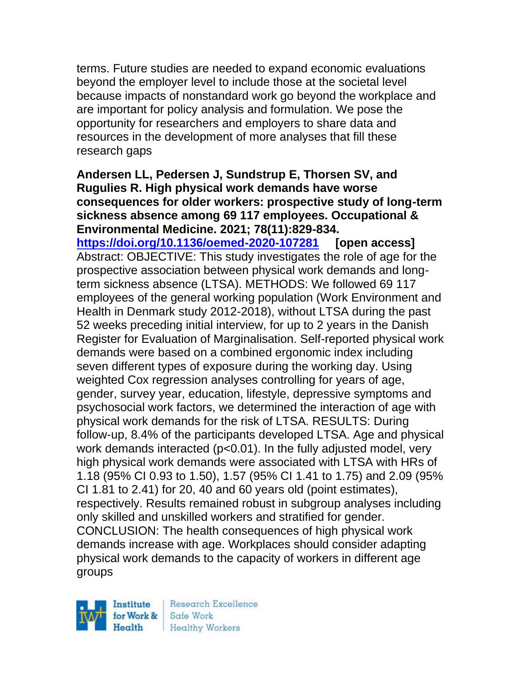terms. Future studies are needed to expand economic evaluations beyond the employer level to include those at the societal level because impacts of nonstandard work go beyond the workplace and are important for policy analysis and formulation. We pose the opportunity for researchers and employers to share data and resources in the development of more analyses that fill these research gaps

**Andersen LL, Pedersen J, Sundstrup E, Thorsen SV, and Rugulies R. High physical work demands have worse consequences for older workers: prospective study of long-term sickness absence among 69 117 employees. Occupational & Environmental Medicine. 2021; 78(11):829-834. <https://doi.org/10.1136/oemed-2020-107281> [open access]** Abstract: OBJECTIVE: This study investigates the role of age for the prospective association between physical work demands and longterm sickness absence (LTSA). METHODS: We followed 69 117 employees of the general working population (Work Environment and Health in Denmark study 2012-2018), without LTSA during the past 52 weeks preceding initial interview, for up to 2 years in the Danish Register for Evaluation of Marginalisation. Self-reported physical work demands were based on a combined ergonomic index including seven different types of exposure during the working day. Using weighted Cox regression analyses controlling for years of age, gender, survey year, education, lifestyle, depressive symptoms and psychosocial work factors, we determined the interaction of age with physical work demands for the risk of LTSA. RESULTS: During follow-up, 8.4% of the participants developed LTSA. Age and physical work demands interacted (p<0.01). In the fully adjusted model, very high physical work demands were associated with LTSA with HRs of 1.18 (95% CI 0.93 to 1.50), 1.57 (95% CI 1.41 to 1.75) and 2.09 (95% CI 1.81 to 2.41) for 20, 40 and 60 years old (point estimates), respectively. Results remained robust in subgroup analyses including only skilled and unskilled workers and stratified for gender. CONCLUSION: The health consequences of high physical work demands increase with age. Workplaces should consider adapting physical work demands to the capacity of workers in different age groups

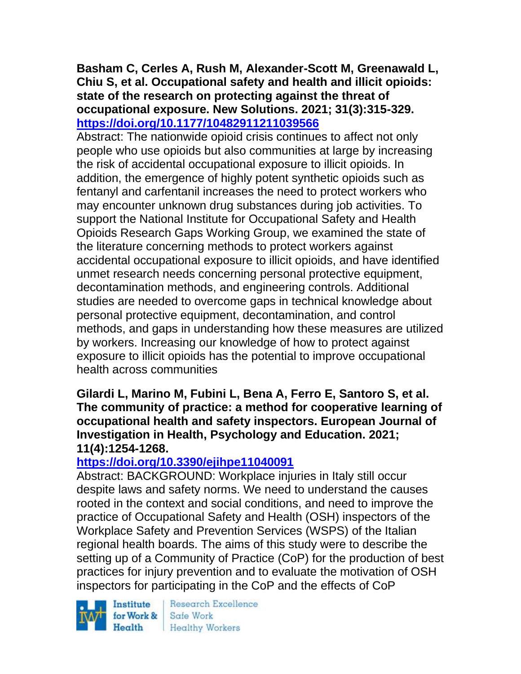### **Basham C, Cerles A, Rush M, Alexander-Scott M, Greenawald L, Chiu S, et al. Occupational safety and health and illicit opioids: state of the research on protecting against the threat of occupational exposure. New Solutions. 2021; 31(3):315-329. <https://doi.org/10.1177/10482911211039566>**

Abstract: The nationwide opioid crisis continues to affect not only people who use opioids but also communities at large by increasing the risk of accidental occupational exposure to illicit opioids. In addition, the emergence of highly potent synthetic opioids such as fentanyl and carfentanil increases the need to protect workers who may encounter unknown drug substances during job activities. To support the National Institute for Occupational Safety and Health Opioids Research Gaps Working Group, we examined the state of the literature concerning methods to protect workers against accidental occupational exposure to illicit opioids, and have identified unmet research needs concerning personal protective equipment, decontamination methods, and engineering controls. Additional studies are needed to overcome gaps in technical knowledge about personal protective equipment, decontamination, and control methods, and gaps in understanding how these measures are utilized by workers. Increasing our knowledge of how to protect against exposure to illicit opioids has the potential to improve occupational health across communities

**Gilardi L, Marino M, Fubini L, Bena A, Ferro E, Santoro S, et al. The community of practice: a method for cooperative learning of occupational health and safety inspectors. European Journal of Investigation in Health, Psychology and Education. 2021; 11(4):1254-1268.** 

# **<https://doi.org/10.3390/ejihpe11040091>**

Abstract: BACKGROUND: Workplace injuries in Italy still occur despite laws and safety norms. We need to understand the causes rooted in the context and social conditions, and need to improve the practice of Occupational Safety and Health (OSH) inspectors of the Workplace Safety and Prevention Services (WSPS) of the Italian regional health boards. The aims of this study were to describe the setting up of a Community of Practice (CoP) for the production of best practices for injury prevention and to evaluate the motivation of OSH inspectors for participating in the CoP and the effects of CoP

Institute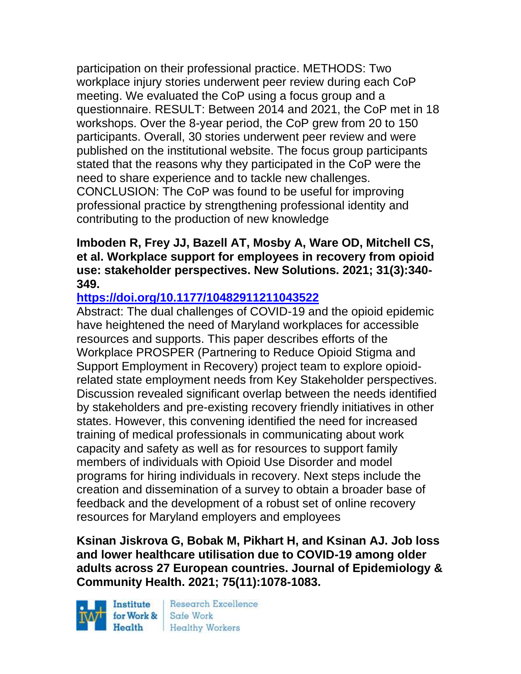participation on their professional practice. METHODS: Two workplace injury stories underwent peer review during each CoP meeting. We evaluated the CoP using a focus group and a questionnaire. RESULT: Between 2014 and 2021, the CoP met in 18 workshops. Over the 8-year period, the CoP grew from 20 to 150 participants. Overall, 30 stories underwent peer review and were published on the institutional website. The focus group participants stated that the reasons why they participated in the CoP were the need to share experience and to tackle new challenges. CONCLUSION: The CoP was found to be useful for improving professional practice by strengthening professional identity and contributing to the production of new knowledge

#### **Imboden R, Frey JJ, Bazell AT, Mosby A, Ware OD, Mitchell CS, et al. Workplace support for employees in recovery from opioid use: stakeholder perspectives. New Solutions. 2021; 31(3):340- 349.**

# **<https://doi.org/10.1177/10482911211043522>**

Abstract: The dual challenges of COVID-19 and the opioid epidemic have heightened the need of Maryland workplaces for accessible resources and supports. This paper describes efforts of the Workplace PROSPER (Partnering to Reduce Opioid Stigma and Support Employment in Recovery) project team to explore opioidrelated state employment needs from Key Stakeholder perspectives. Discussion revealed significant overlap between the needs identified by stakeholders and pre-existing recovery friendly initiatives in other states. However, this convening identified the need for increased training of medical professionals in communicating about work capacity and safety as well as for resources to support family members of individuals with Opioid Use Disorder and model programs for hiring individuals in recovery. Next steps include the creation and dissemination of a survey to obtain a broader base of feedback and the development of a robust set of online recovery resources for Maryland employers and employees

**Ksinan Jiskrova G, Bobak M, Pikhart H, and Ksinan AJ. Job loss and lower healthcare utilisation due to COVID-19 among older adults across 27 European countries. Journal of Epidemiology & Community Health. 2021; 75(11):1078-1083.** 

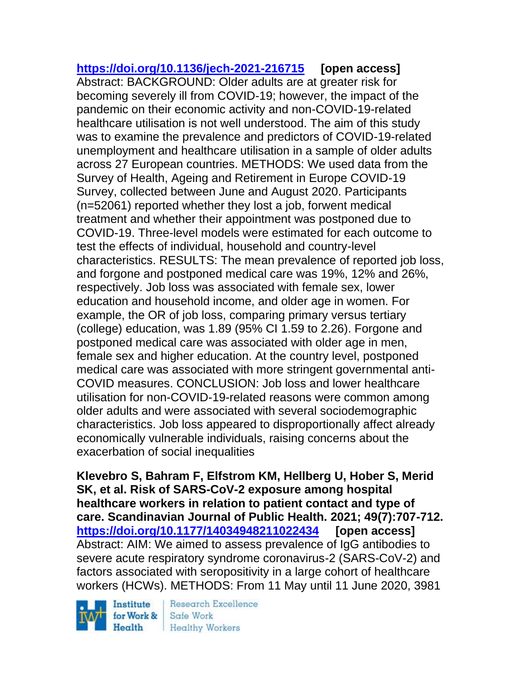**<https://doi.org/10.1136/jech-2021-216715> [open access]** Abstract: BACKGROUND: Older adults are at greater risk for becoming severely ill from COVID-19; however, the impact of the pandemic on their economic activity and non-COVID-19-related healthcare utilisation is not well understood. The aim of this study was to examine the prevalence and predictors of COVID-19-related unemployment and healthcare utilisation in a sample of older adults across 27 European countries. METHODS: We used data from the Survey of Health, Ageing and Retirement in Europe COVID-19 Survey, collected between June and August 2020. Participants (n=52061) reported whether they lost a job, forwent medical treatment and whether their appointment was postponed due to COVID-19. Three-level models were estimated for each outcome to test the effects of individual, household and country-level characteristics. RESULTS: The mean prevalence of reported job loss, and forgone and postponed medical care was 19%, 12% and 26%, respectively. Job loss was associated with female sex, lower education and household income, and older age in women. For example, the OR of job loss, comparing primary versus tertiary (college) education, was 1.89 (95% CI 1.59 to 2.26). Forgone and postponed medical care was associated with older age in men, female sex and higher education. At the country level, postponed medical care was associated with more stringent governmental anti-COVID measures. CONCLUSION: Job loss and lower healthcare utilisation for non-COVID-19-related reasons were common among older adults and were associated with several sociodemographic characteristics. Job loss appeared to disproportionally affect already economically vulnerable individuals, raising concerns about the exacerbation of social inequalities

**Klevebro S, Bahram F, Elfstrom KM, Hellberg U, Hober S, Merid SK, et al. Risk of SARS-CoV-2 exposure among hospital healthcare workers in relation to patient contact and type of care. Scandinavian Journal of Public Health. 2021; 49(7):707-712. <https://doi.org/10.1177/14034948211022434> [open access]** Abstract: AIM: We aimed to assess prevalence of IgG antibodies to severe acute respiratory syndrome coronavirus-2 (SARS-CoV-2) and factors associated with seropositivity in a large cohort of healthcare workers (HCWs). METHODS: From 11 May until 11 June 2020, 3981

Institute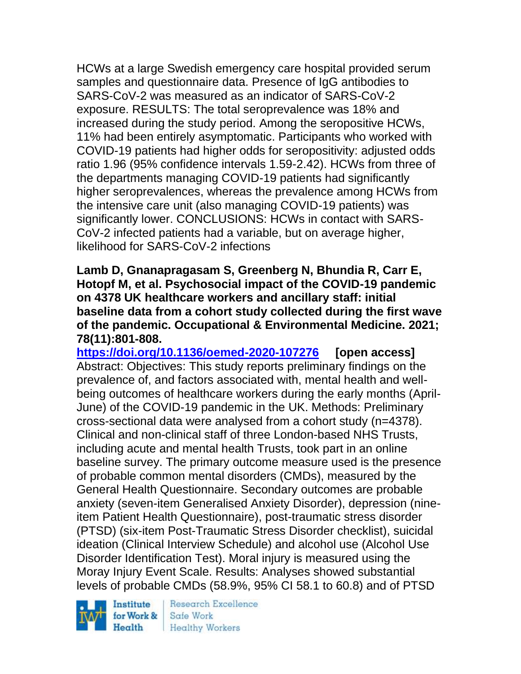HCWs at a large Swedish emergency care hospital provided serum samples and questionnaire data. Presence of IgG antibodies to SARS-CoV-2 was measured as an indicator of SARS-CoV-2 exposure. RESULTS: The total seroprevalence was 18% and increased during the study period. Among the seropositive HCWs, 11% had been entirely asymptomatic. Participants who worked with COVID-19 patients had higher odds for seropositivity: adjusted odds ratio 1.96 (95% confidence intervals 1.59-2.42). HCWs from three of the departments managing COVID-19 patients had significantly higher seroprevalences, whereas the prevalence among HCWs from the intensive care unit (also managing COVID-19 patients) was significantly lower. CONCLUSIONS: HCWs in contact with SARS-CoV-2 infected patients had a variable, but on average higher, likelihood for SARS-CoV-2 infections

**Lamb D, Gnanapragasam S, Greenberg N, Bhundia R, Carr E, Hotopf M, et al. Psychosocial impact of the COVID-19 pandemic on 4378 UK healthcare workers and ancillary staff: initial baseline data from a cohort study collected during the first wave of the pandemic. Occupational & Environmental Medicine. 2021; 78(11):801-808.** 

**<https://doi.org/10.1136/oemed-2020-107276> [open access]** Abstract: Objectives: This study reports preliminary findings on the prevalence of, and factors associated with, mental health and wellbeing outcomes of healthcare workers during the early months (April-June) of the COVID-19 pandemic in the UK. Methods: Preliminary cross-sectional data were analysed from a cohort study (n=4378). Clinical and non-clinical staff of three London-based NHS Trusts, including acute and mental health Trusts, took part in an online baseline survey. The primary outcome measure used is the presence of probable common mental disorders (CMDs), measured by the General Health Questionnaire. Secondary outcomes are probable anxiety (seven-item Generalised Anxiety Disorder), depression (nineitem Patient Health Questionnaire), post-traumatic stress disorder (PTSD) (six-item Post-Traumatic Stress Disorder checklist), suicidal ideation (Clinical Interview Schedule) and alcohol use (Alcohol Use Disorder Identification Test). Moral injury is measured using the Moray Injury Event Scale. Results: Analyses showed substantial levels of probable CMDs (58.9%, 95% CI 58.1 to 60.8) and of PTSD

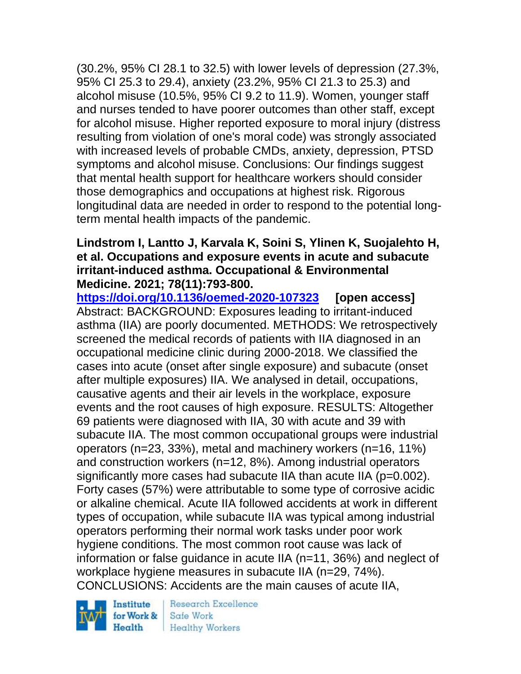(30.2%, 95% CI 28.1 to 32.5) with lower levels of depression (27.3%, 95% CI 25.3 to 29.4), anxiety (23.2%, 95% CI 21.3 to 25.3) and alcohol misuse (10.5%, 95% CI 9.2 to 11.9). Women, younger staff and nurses tended to have poorer outcomes than other staff, except for alcohol misuse. Higher reported exposure to moral injury (distress resulting from violation of one's moral code) was strongly associated with increased levels of probable CMDs, anxiety, depression, PTSD symptoms and alcohol misuse. Conclusions: Our findings suggest that mental health support for healthcare workers should consider those demographics and occupations at highest risk. Rigorous longitudinal data are needed in order to respond to the potential longterm mental health impacts of the pandemic.

### **Lindstrom I, Lantto J, Karvala K, Soini S, Ylinen K, Suojalehto H, et al. Occupations and exposure events in acute and subacute irritant-induced asthma. Occupational & Environmental Medicine. 2021; 78(11):793-800.**

**<https://doi.org/10.1136/oemed-2020-107323> [open access]** Abstract: BACKGROUND: Exposures leading to irritant-induced asthma (IIA) are poorly documented. METHODS: We retrospectively screened the medical records of patients with IIA diagnosed in an occupational medicine clinic during 2000-2018. We classified the cases into acute (onset after single exposure) and subacute (onset after multiple exposures) IIA. We analysed in detail, occupations, causative agents and their air levels in the workplace, exposure events and the root causes of high exposure. RESULTS: Altogether 69 patients were diagnosed with IIA, 30 with acute and 39 with subacute IIA. The most common occupational groups were industrial operators (n=23, 33%), metal and machinery workers (n=16, 11%) and construction workers (n=12, 8%). Among industrial operators significantly more cases had subacute IIA than acute IIA (p=0.002). Forty cases (57%) were attributable to some type of corrosive acidic or alkaline chemical. Acute IIA followed accidents at work in different types of occupation, while subacute IIA was typical among industrial operators performing their normal work tasks under poor work hygiene conditions. The most common root cause was lack of information or false guidance in acute IIA (n=11, 36%) and neglect of workplace hygiene measures in subacute IIA (n=29, 74%). CONCLUSIONS: Accidents are the main causes of acute IIA,



Research Excellence Safe Work Healthy Workers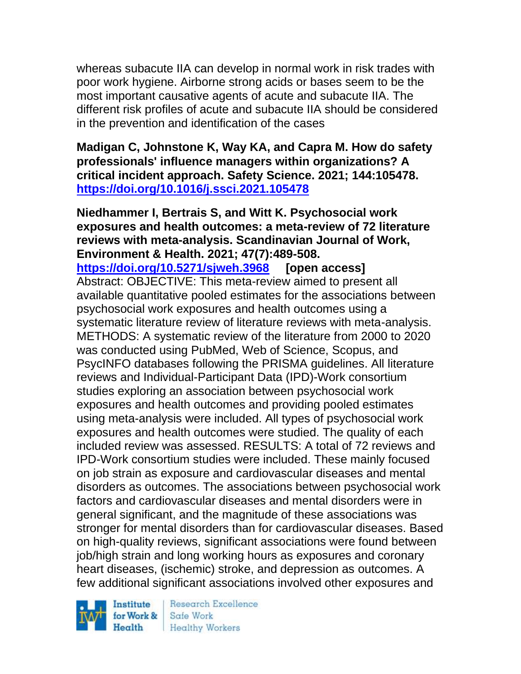whereas subacute IIA can develop in normal work in risk trades with poor work hygiene. Airborne strong acids or bases seem to be the most important causative agents of acute and subacute IIA. The different risk profiles of acute and subacute IIA should be considered in the prevention and identification of the cases

**Madigan C, Johnstone K, Way KA, and Capra M. How do safety professionals' influence managers within organizations? A critical incident approach. Safety Science. 2021; 144:105478. <https://doi.org/10.1016/j.ssci.2021.105478>** 

**Niedhammer I, Bertrais S, and Witt K. Psychosocial work exposures and health outcomes: a meta-review of 72 literature reviews with meta-analysis. Scandinavian Journal of Work, Environment & Health. 2021; 47(7):489-508. <https://doi.org/10.5271/sjweh.3968> [open access]** Abstract: OBJECTIVE: This meta-review aimed to present all available quantitative pooled estimates for the associations between psychosocial work exposures and health outcomes using a systematic literature review of literature reviews with meta-analysis. METHODS: A systematic review of the literature from 2000 to 2020 was conducted using PubMed, Web of Science, Scopus, and PsycINFO databases following the PRISMA guidelines. All literature reviews and Individual-Participant Data (IPD)-Work consortium studies exploring an association between psychosocial work exposures and health outcomes and providing pooled estimates using meta-analysis were included. All types of psychosocial work exposures and health outcomes were studied. The quality of each included review was assessed. RESULTS: A total of 72 reviews and IPD-Work consortium studies were included. These mainly focused on job strain as exposure and cardiovascular diseases and mental disorders as outcomes. The associations between psychosocial work factors and cardiovascular diseases and mental disorders were in general significant, and the magnitude of these associations was stronger for mental disorders than for cardiovascular diseases. Based on high-quality reviews, significant associations were found between job/high strain and long working hours as exposures and coronary heart diseases, (ischemic) stroke, and depression as outcomes. A few additional significant associations involved other exposures and

Institute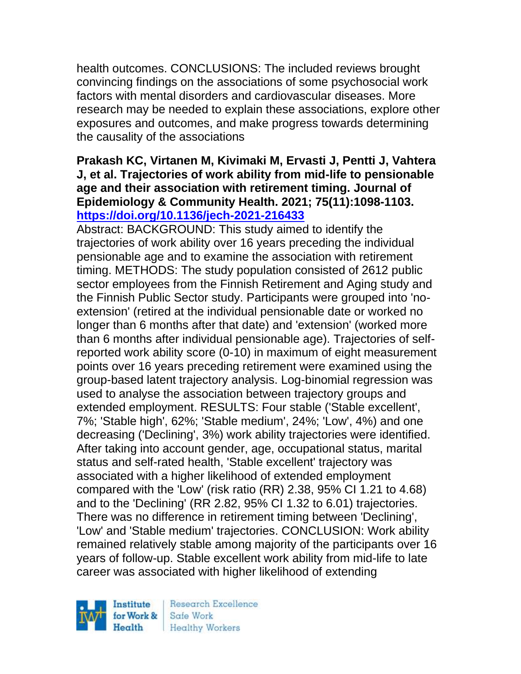health outcomes. CONCLUSIONS: The included reviews brought convincing findings on the associations of some psychosocial work factors with mental disorders and cardiovascular diseases. More research may be needed to explain these associations, explore other exposures and outcomes, and make progress towards determining the causality of the associations

### **Prakash KC, Virtanen M, Kivimaki M, Ervasti J, Pentti J, Vahtera J, et al. Trajectories of work ability from mid-life to pensionable age and their association with retirement timing. Journal of Epidemiology & Community Health. 2021; 75(11):1098-1103. <https://doi.org/10.1136/jech-2021-216433>**

Abstract: BACKGROUND: This study aimed to identify the trajectories of work ability over 16 years preceding the individual pensionable age and to examine the association with retirement timing. METHODS: The study population consisted of 2612 public sector employees from the Finnish Retirement and Aging study and the Finnish Public Sector study. Participants were grouped into 'noextension' (retired at the individual pensionable date or worked no longer than 6 months after that date) and 'extension' (worked more than 6 months after individual pensionable age). Trajectories of selfreported work ability score (0-10) in maximum of eight measurement points over 16 years preceding retirement were examined using the group-based latent trajectory analysis. Log-binomial regression was used to analyse the association between trajectory groups and extended employment. RESULTS: Four stable ('Stable excellent', 7%; 'Stable high', 62%; 'Stable medium', 24%; 'Low', 4%) and one decreasing ('Declining', 3%) work ability trajectories were identified. After taking into account gender, age, occupational status, marital status and self-rated health, 'Stable excellent' trajectory was associated with a higher likelihood of extended employment compared with the 'Low' (risk ratio (RR) 2.38, 95% CI 1.21 to 4.68) and to the 'Declining' (RR 2.82, 95% CI 1.32 to 6.01) trajectories. There was no difference in retirement timing between 'Declining', 'Low' and 'Stable medium' trajectories. CONCLUSION: Work ability remained relatively stable among majority of the participants over 16 years of follow-up. Stable excellent work ability from mid-life to late career was associated with higher likelihood of extending

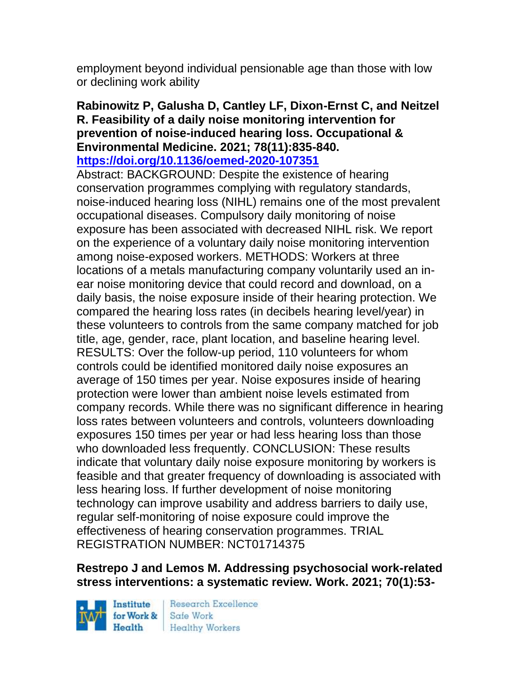employment beyond individual pensionable age than those with low or declining work ability

# **Rabinowitz P, Galusha D, Cantley LF, Dixon-Ernst C, and Neitzel R. Feasibility of a daily noise monitoring intervention for prevention of noise-induced hearing loss. Occupational & Environmental Medicine. 2021; 78(11):835-840.**

**<https://doi.org/10.1136/oemed-2020-107351>** 

Abstract: BACKGROUND: Despite the existence of hearing conservation programmes complying with regulatory standards, noise-induced hearing loss (NIHL) remains one of the most prevalent occupational diseases. Compulsory daily monitoring of noise exposure has been associated with decreased NIHL risk. We report on the experience of a voluntary daily noise monitoring intervention among noise-exposed workers. METHODS: Workers at three locations of a metals manufacturing company voluntarily used an inear noise monitoring device that could record and download, on a daily basis, the noise exposure inside of their hearing protection. We compared the hearing loss rates (in decibels hearing level/year) in these volunteers to controls from the same company matched for job title, age, gender, race, plant location, and baseline hearing level. RESULTS: Over the follow-up period, 110 volunteers for whom controls could be identified monitored daily noise exposures an average of 150 times per year. Noise exposures inside of hearing protection were lower than ambient noise levels estimated from company records. While there was no significant difference in hearing loss rates between volunteers and controls, volunteers downloading exposures 150 times per year or had less hearing loss than those who downloaded less frequently. CONCLUSION: These results indicate that voluntary daily noise exposure monitoring by workers is feasible and that greater frequency of downloading is associated with less hearing loss. If further development of noise monitoring technology can improve usability and address barriers to daily use, regular self-monitoring of noise exposure could improve the effectiveness of hearing conservation programmes. TRIAL REGISTRATION NUMBER: NCT01714375

### **Restrepo J and Lemos M. Addressing psychosocial work-related stress interventions: a systematic review. Work. 2021; 70(1):53-**

Institute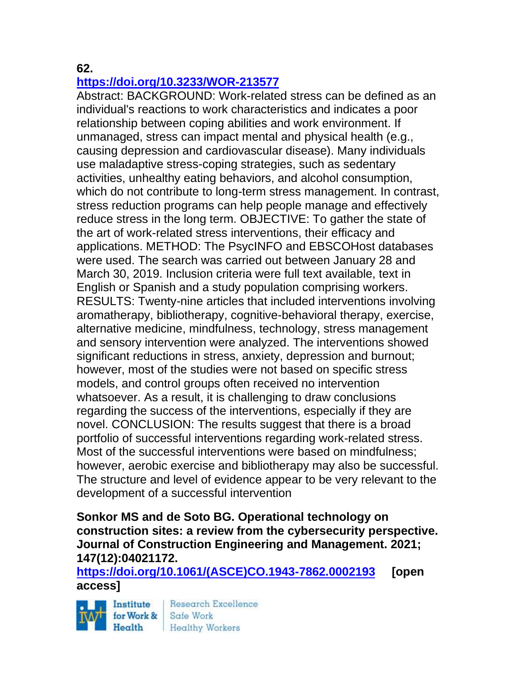### **62.**

### **<https://doi.org/10.3233/WOR-213577>**

Abstract: BACKGROUND: Work-related stress can be defined as an individual's reactions to work characteristics and indicates a poor relationship between coping abilities and work environment. If unmanaged, stress can impact mental and physical health (e.g., causing depression and cardiovascular disease). Many individuals use maladaptive stress-coping strategies, such as sedentary activities, unhealthy eating behaviors, and alcohol consumption, which do not contribute to long-term stress management. In contrast, stress reduction programs can help people manage and effectively reduce stress in the long term. OBJECTIVE: To gather the state of the art of work-related stress interventions, their efficacy and applications. METHOD: The PsycINFO and EBSCOHost databases were used. The search was carried out between January 28 and March 30, 2019. Inclusion criteria were full text available, text in English or Spanish and a study population comprising workers. RESULTS: Twenty-nine articles that included interventions involving aromatherapy, bibliotherapy, cognitive-behavioral therapy, exercise, alternative medicine, mindfulness, technology, stress management and sensory intervention were analyzed. The interventions showed significant reductions in stress, anxiety, depression and burnout; however, most of the studies were not based on specific stress models, and control groups often received no intervention whatsoever. As a result, it is challenging to draw conclusions regarding the success of the interventions, especially if they are novel. CONCLUSION: The results suggest that there is a broad portfolio of successful interventions regarding work-related stress. Most of the successful interventions were based on mindfulness; however, aerobic exercise and bibliotherapy may also be successful. The structure and level of evidence appear to be very relevant to the development of a successful intervention

### **Sonkor MS and de Soto BG. Operational technology on construction sites: a review from the cybersecurity perspective. Journal of Construction Engineering and Management. 2021; 147(12):04021172.**

**[https://doi.org/10.1061/\(ASCE\)CO.1943-7862.0002193](https://doi.org/10.1061/(ASCE)CO.1943-7862.0002193) [open access]**



Research Excellence **Healthy Workers**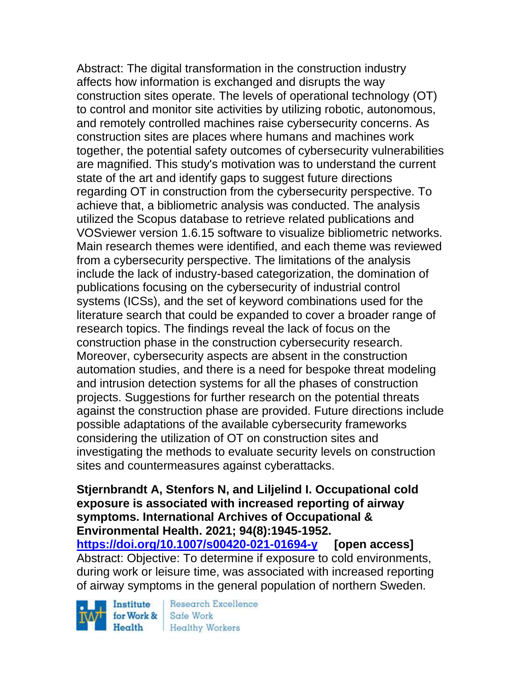Abstract: The digital transformation in the construction industry affects how information is exchanged and disrupts the way construction sites operate. The levels of operational technology (OT) to control and monitor site activities by utilizing robotic, autonomous, and remotely controlled machines raise cybersecurity concerns. As construction sites are places where humans and machines work together, the potential safety outcomes of cybersecurity vulnerabilities are magnified. This study's motivation was to understand the current state of the art and identify gaps to suggest future directions regarding OT in construction from the cybersecurity perspective. To achieve that, a bibliometric analysis was conducted. The analysis utilized the Scopus database to retrieve related publications and VOSviewer version 1.6.15 software to visualize bibliometric networks. Main research themes were identified, and each theme was reviewed from a cybersecurity perspective. The limitations of the analysis include the lack of industry-based categorization, the domination of publications focusing on the cybersecurity of industrial control systems (ICSs), and the set of keyword combinations used for the literature search that could be expanded to cover a broader range of research topics. The findings reveal the lack of focus on the construction phase in the construction cybersecurity research. Moreover, cybersecurity aspects are absent in the construction automation studies, and there is a need for bespoke threat modeling and intrusion detection systems for all the phases of construction projects. Suggestions for further research on the potential threats against the construction phase are provided. Future directions include possible adaptations of the available cybersecurity frameworks considering the utilization of OT on construction sites and investigating the methods to evaluate security levels on construction sites and countermeasures against cyberattacks.

#### **Stjernbrandt A, Stenfors N, and Liljelind I. Occupational cold exposure is associated with increased reporting of airway symptoms. International Archives of Occupational & Environmental Health. 2021; 94(8):1945-1952.**

**<https://doi.org/10.1007/s00420-021-01694-y> [open access]** Abstract: Objective: To determine if exposure to cold environments, during work or leisure time, was associated with increased reporting of airway symptoms in the general population of northern Sweden.

Institute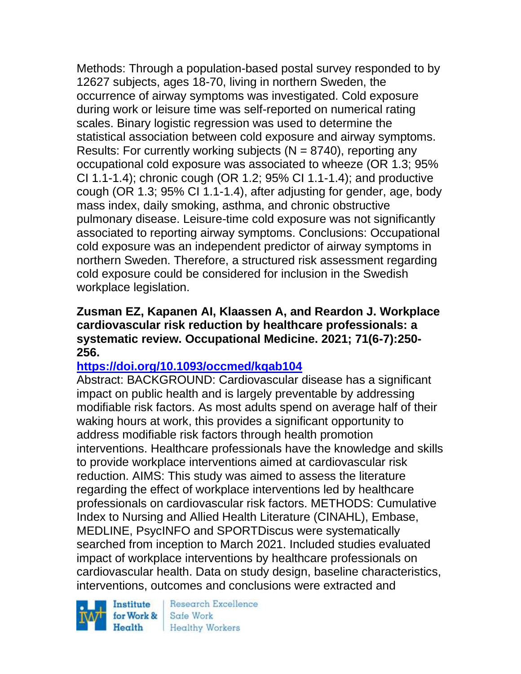Methods: Through a population-based postal survey responded to by 12627 subjects, ages 18-70, living in northern Sweden, the occurrence of airway symptoms was investigated. Cold exposure during work or leisure time was self-reported on numerical rating scales. Binary logistic regression was used to determine the statistical association between cold exposure and airway symptoms. Results: For currently working subjects ( $N = 8740$ ), reporting any occupational cold exposure was associated to wheeze (OR 1.3; 95% CI 1.1-1.4); chronic cough (OR 1.2; 95% CI 1.1-1.4); and productive cough (OR 1.3; 95% CI 1.1-1.4), after adjusting for gender, age, body mass index, daily smoking, asthma, and chronic obstructive pulmonary disease. Leisure-time cold exposure was not significantly associated to reporting airway symptoms. Conclusions: Occupational cold exposure was an independent predictor of airway symptoms in northern Sweden. Therefore, a structured risk assessment regarding cold exposure could be considered for inclusion in the Swedish workplace legislation.

#### **Zusman EZ, Kapanen AI, Klaassen A, and Reardon J. Workplace cardiovascular risk reduction by healthcare professionals: a systematic review. Occupational Medicine. 2021; 71(6-7):250- 256.**

# **<https://doi.org/10.1093/occmed/kqab104>**

Abstract: BACKGROUND: Cardiovascular disease has a significant impact on public health and is largely preventable by addressing modifiable risk factors. As most adults spend on average half of their waking hours at work, this provides a significant opportunity to address modifiable risk factors through health promotion interventions. Healthcare professionals have the knowledge and skills to provide workplace interventions aimed at cardiovascular risk reduction. AIMS: This study was aimed to assess the literature regarding the effect of workplace interventions led by healthcare professionals on cardiovascular risk factors. METHODS: Cumulative Index to Nursing and Allied Health Literature (CINAHL), Embase, MEDLINE, PsycINFO and SPORTDiscus were systematically searched from inception to March 2021. Included studies evaluated impact of workplace interventions by healthcare professionals on cardiovascular health. Data on study design, baseline characteristics, interventions, outcomes and conclusions were extracted and